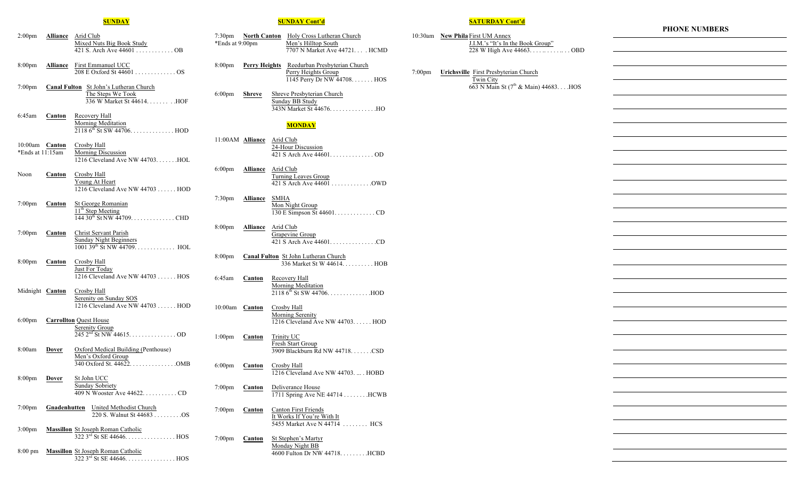#### **SUNDAY**

- 2:00pm **Alliance** Arid Club Mixed Nuts Big Book Study 421 S. Arch Ave 44601 . . . . . . . . . . . . OB
- 8:00pm **Alliance** First Emmanuel UCC 208 E Oxford St 44601 . . . . . . . . . . . . . OS
- 7:00pm **Canal Fulton** St John's Lutheran Church The Steps We Took 336 W Market St 44614. . . . . . . . .HOF
- 6:45am **Canton** Recovery Hall Morning Meditation  $21186^{th}$  St SW 44706. . . . . . . . . . . . . . HOD
- 10:00am **Canton** Crosby Hall<br>\*Ends at 11:15am Morning Dis Morning Discussion 1216 Cleveland Ave NW 44703. . . . . . . . HOL
- Noon **Canton** Crosby Hall Young At Heart 1216 Cleveland Ave NW 44703 . . . . . . HOD
- 7:00pm **Canton** St George Romanian 11<sup>th</sup> Step Meeting  $144\,30^{45}$  St NW  $44709$ . . . . . . . . . . . . . . CHD
- 7:00pm **Canton** Christ Servant Parish Sunday Night Beginners  $1001\,39^{th}\,$  St NW 44709. . . . . . . . . . . . HOL
- 8:00pm **Canton** Crosby Hall Just For Today 1216 Cleveland Ave NW 44703 . . . . . . HOS
- Midnight **Canton** Crosby Hall Serenity on Sunday SOS 1216 Cleveland Ave NW 44703 . . . . . . HOD
- 6:00pm **Carrollton** Quest House Serenity Group  $245 \, 2^{nd}$  St NW 44615. . . . . . . . . . . . . . OD
- 8:00am **Dover** Oxford Medical Building (Penthouse) Men's Oxford Group 340 Oxford St. 44622. . . . . . . . . . . . . . .OMB
- 8:00pm **Dover** St John UCC Sunday Sobriety 409 N Wooster Ave 44622. . . . . . . . . . . CD
- 7:00pm **Gnadenhutten** United Methodist Church 220 S. Walnut St 44683 . . . . . . . . . OS
- 3:00pm **Massillon** St Joseph Roman Catholic 322 3rd St SE 44646. . . . . . . . . . . . . . . . HOS
- 8:00 pm **Massillon** St Joseph Roman Catholic  $322 \, 3^{rd}$  St SE 44646. . . . . . . . . . . . . . . HOS

#### **SUNDAY Cont'd**

- 7:30pm **North Canton** Holy Cross Lutheran Church<br>\*Ends at 9:00pm Men's Hilltop South Men's Hilltop South 7707 N Market Ave 44721. . . . HCMD
- 8:00pm **Perry Heights** Reedurban Presbyterian Church Perry Heights Group 1145 Perry Dr NW 44708. . . . . . . HOS
- 6:00pm **Shreve** Shreve Presbyterian Church Sunday BB Study 343N Market St 44676. . . . . . . . . . . . . . .HO

## **MONDAY**

- 11:00AM **Alliance** Arid Club 24-Hour Discussion 421 S Arch Ave 44601. . . . . . . . . . . . . . OD
- 6:00pm **Alliance** Arid Club Turning Leaves Group 421 S Arch Ave 44601 . . . . . . . . . . . . .OWD
- 7:30pm **Alliance** SMHA Mon Night Group 130 E Simpson St 44601. . . . . . . . . . . . . CD
- 8:00pm **Alliance** Arid Club Grapevine Group 421 S Arch Ave 44601. . . . . . . . . . . . . . .CD
- 8:00pm **Canal Fulton** St John Lutheran Church 336 Market St W 44614. . . . . . . . . . HOB
- 6:45am **Canton** Recovery Hall Morning Meditation 2118 6th St SW 44706. . . . . . . . . . . . . .HOD
- 10:00am **Canton** Crosby Hall Morning Serenity 1216 Cleveland Ave NW 44703. . . . . . HOD
- 1:00pm **Canton** Trinity UC Fresh Start Group 3909 Blackburn Rd NW 44718. . . . . . .CSD
- 6:00pm **Canton** Crosby Hall 1216 Cleveland Ave NW 44703. ... . HOBD
- 7:00pm **Canton** Deliverance House 1711 Spring Ave NE 44714 . . . . . . . . . HCWB
- 7:00pm **Canton** Canton First Friends It Works If You're With It 5455 Market Ave N 44714 . . . . . . . . HCS
- 7:00pm **Canton** St Stephen's Martyr Monday Night BB 4600 Fulton Dr NW 44718. . . . . . . . .HCBD

## **SATURDAY Cont'd**

10:30am **New Phila** First UM Annex J.I.M.'s "It's In the Book Group" 228 W High Ave 44663. . . . . . . . . . . . . OBD

7:00pm **Urichsville** First Presbyterian Church Twin City 663 N Main St (7th & Main) 44683. . . .HOS

#### **PHONE NUMBERS**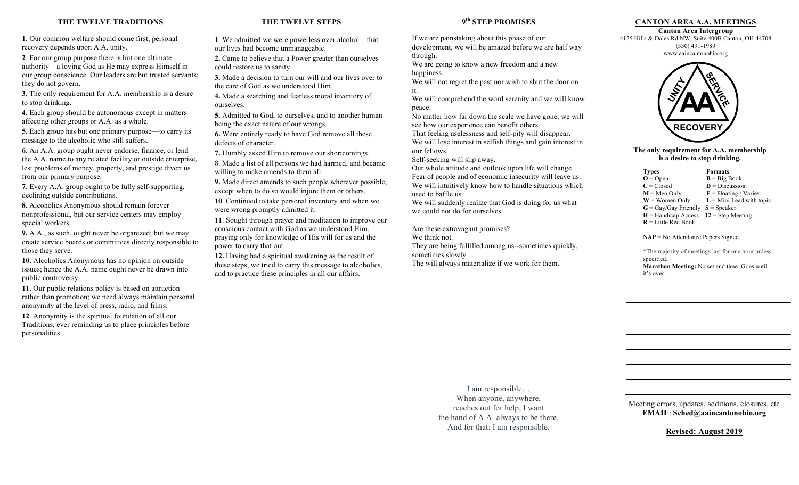## **THE TWELVE TRADITIONS**

**1.** Our common welfare should come first; personal recovery depends upon A.A. unity.

**2**. For our group purpose there is but one ultimate authority—a loving God as He may express Himself in our group conscience. Our leaders are but trusted servants; they do not govern.

**3.** The only requirement for A.A. membership is a desire to stop drinking.

**4.** Each group should be autonomous except in matters affecting other groups or A.A. as a whole.

**5.** Each group has but one primary purpose—to carry its message to the alcoholic who still suffers.

**6.** An A.A. group ought never endorse, finance, or lend the A.A. name to any related facility or outside enterprise, lest problems of money, property, and prestige divert us from our primary purpose.

**7.** Every A.A. group ought to be fully self-supporting, declining outside contributions.

**8.** Alcoholics Anonymous should remain forever nonprofessional, but our service centers may employ special workers.

**9.** A.A., as such, ought never be organized; but we may create service boards or committees directly responsible to those they serve.

**10.** Alcoholics Anonymous has no opinion on outside issues; hence the A.A. name ought never be drawn into public controversy.

**11.** Our public relations policy is based on attraction rather than promotion; we need always maintain personal anonymity at the level of press, radio, and films.

**12**. Anonymity is the spiritual foundation of all our Traditions, ever reminding us to place principles before personalities.

# **THE TWELVE STEPS**

**1**. We admitted we were powerless over alcohol—that our lives had become unmanageable.

**2.** Came to believe that a Power greater than ourselves could restore us to sanity.

**3.** Made a decision to turn our will and our lives over to the care of God as we understood Him.

**4.** Made a searching and fearless moral inventory of ourselves.

**5.** Admitted to God, to ourselves, and to another human being the exact nature of our wrongs.

**6.** Were entirely ready to have God remove all these defects of character.

**7.** Humbly asked Him to remove our shortcomings.

8. Made a list of all persons we had harmed, and became willing to make amends to them all.

**9.** Made direct amends to such people wherever possible, except when to do so would injure them or others.

**10**. Continued to take personal inventory and when we were wrong promptly admitted it.

**11**. Sought through prayer and meditation to improve our conscious contact with God as we understood Him, praying only for knowledge of His will for us and the power to carry that out.

**12.** Having had a spiritual awakening as the result of these steps, we tried to carry this message to alcoholics, and to practice these principles in all our affairs.

**9th STEP PROMISES**

If we are painstaking about this phase of our development, we will be amazed before we are half way through.

We are going to know a new freedom and a new happiness.

We will not regret the past nor wish to shut the door on it.

We will comprehend the word serenity and we will know peace.

No matter how far down the scale we have gone, we will see how our experience can benefit others.

That feeling uselessness and self-pity will disappear. We will lose interest in selfish things and gain interest in our fellows.

Self-seeking will slip away.

Our whole attitude and outlook upon life will change. Fear of people and of economic insecurity will leave us. We will intuitively know how to handle situations which used to baffle us.

We will suddenly realize that God is doing for us what we could not do for ourselves.

Are these extravagant promises? We think not. They are being fulfilled among us--sometimes quickly, sometimes slowly. The will always materialize if we work for them.

## **CANTON AREA A.A. MEETINGS**

**Canton Area Intergroup**  4125 Hills & Dales Rd NW, Suite 400B Canton, OH 44708 (330) 491-1989 www.aaincantonohio.org



**The only requirement for A.A. membership is a desire to stop drinking.**

 $\frac{Types}{O = Open}$  **Formats**<br> $\frac{Formats}{B = Big}$  $\overline{\mathbf{B}} = \overline{\text{Big} \text{ Book}}$  $C = Closed$  **D** = Discussion **M** = Men Only **F** = Floating / Varies<br>**W** = Women Only **L** = Mini Lead with to  $L =$  Mini Lead with topic  $G = Gav/Gav$  Friendly  $S = Speaker$  $H =$  Handicap Access **12** = Step Meeting **R** = Little Red Book

**NAP** = No Attendance Papers Signed

\*The majority of meetings last for one hour unless specified. **Marathon Meeting:** No set end time. Goes until

it's over.

I am responsible… When anyone, anywhere, reaches out for help, I want the hand of A.A. always to be there. And for that: I am responsible.

Meeting errors, updates, additions, closures, etc **EMAIL**: **Sched@aaincantonohio.org**

**Revised: August 2019**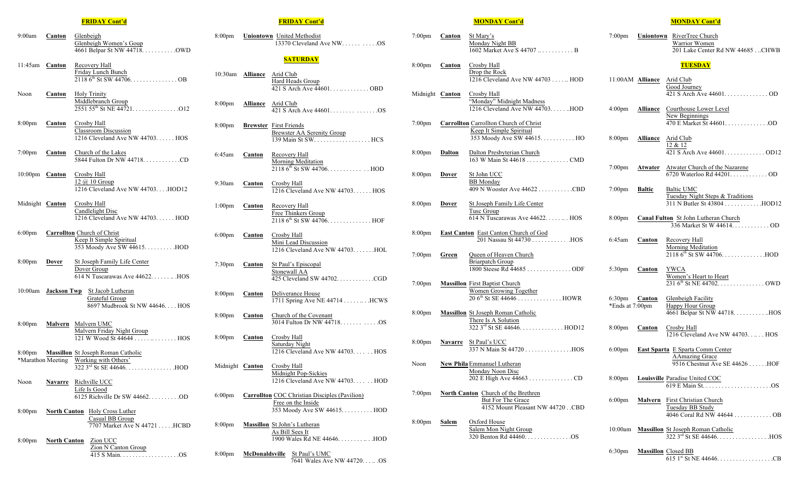### **FRIDAY Cont'd**

- 9:00am **Canton** Glenbeigh Glenbeigh Women's Goup 4661 Belpar St NW 44718. . . . . . . . . . .OWD
- 11:45am **Canton** Recovery Hall Friday Lunch Bunch  $21186^{th}$  St SW 44706. . . . . . . . . . . . . . OB
- Noon **Canton** Holy Trinity Middlebranch Group  $2551\,55^{\text{th}}$  St NE 44721. . . . . . . . . . . . . . . . 012
- 8:00pm **Canton** Crosby Hall Classroom Discussion 1216 Cleveland Ave NW 44703. . . . . . HOS
- 7:00pm **Canton** Church of the Lakes 5844 Fulton Dr NW 44718. . . . . . . . . . . .CD
- 10:00pm **Canton** Crosby Hall 12 @ 10 Group 1216 Cleveland Ave NW 44703. . . .HOD12
- Midnight **Canton** Crosby Hall Candlelight Disc 1216 Cleveland Ave NW 44703. . . . . . HOD
- 6:00pm **Carrollton** Church of Christ Keep It Simple Spiritual 353 Moody Ave SW 44615. . . . . . . . . .HOD
- 8:00pm **Dover** St Joseph Family Life Center Dover Group 614 N Tuscarawas Ave 44622. . . . . . .. .HOS
- 10:00am **Jackson Twp** St Jacob Lutheran Grateful Group 8697 Mudbrook St NW 44646. . . . HOS
- 8:00pm **Malvern** Malvern UMC Malvern Friday Night Group 121 W Wood St 44644 . . . . . .. . . . . . . . HOS
- 8:00pm **Massillon** St Joseph Roman Catholic \*Marathon Meeting Working with Others' 322 3rd St SE 44646. . . . . . . . . . . . . . . .HOD
- Noon **Navarre** Richville UCC Life Is Good 6125 Richville Dr SW 44662. . . . . . . . . .OD
- 8:00pm **North Canton** Holy Cross Luther Casual BB Group 7707 Market Ave N 44721 . . . . .HCBD
- 8:00pm **North Canton** Zion UCC Zion N Canton Group 415 S Main. . . . . . . . . . . . . . . . . . .OS

#### **FRIDAY Cont'd**

- 8:00pm **Uniontown** United Methodist 13370 Cleveland Ave NW. . . . . . . . . . .OS **SATURDAY** 10:30am **Alliance** Arid Club Hard Heads Group 421 S Arch Ave 44601. . . .. . . . . . . . . OBD 8:00pm **Alliance** Arid Club 421 S Arch Ave 44601. . . . . . . . . . . . . . .OS 8:00pm **Brewster** First Friends Brewster AA Serenity Group 139 Main St SW. . . . . . . . . . . . . . . . . . HCS 6:45am **Canton** Recovery Hall Morning Meditation  $21186^{th}$  St SW 44706. . . . . . . . . . . . . . HOD
- 9:30am **Canton** Crosby Hall 1216 Cleveland Ave NW 44703. . . . . . HOS
- 1:00pm **Canton** Recovery Hall Free Thinkers Group  $21186^{th}$  St SW 44706. . . . . . . . . . . . . . HOF
- 6:00pm **Canton** Crosby Hall Mini Lead Discussion 1216 Cleveland Ave NW 44703. . . . . . .HOL
- 7:30pm **Canton** St Paul's Episcopal Stonewall AA 425 Cleveland SW 44702. . . . . . . . . . . .CGD
- 8:00pm **Canton** Deliverance House 1711 Spring Ave NE 44714 . . . . . . . . . HCWS
- 8:00pm **Canton** Church of the Covenant 3014 Fulton Dr NW 44718. . . . . . . . . . . .OS
- 8:00pm **Canton** Crosby Hall Saturday Night 1216 Cleveland Ave NW 44703. . . . . . HOS
- Midnight **Canton** Crosby Hall Midnight Pop-Sickies 1216 Cleveland Ave NW 44703. . . . . . HOD
- 6:00pm **Carrollton** COC Christian Disciples (Pavilion) Free on the Inside 353 Moody Ave SW 44615. . . . . . . . . . HOD
- 8:00pm **Massillon** St John's Lutheran As Bill Sees It 1900 Wales Rd NE 44646. . . . . . . . .. . .HOD
- 8:00pm **McDonaldsville** St Paul's UMC 7641 Wales Ave NW 44720. . . .. .OS

### **MONDAY Cont'd**

- 7:00pm **Canton** St Mary's Monday Night BB 1602 Market Ave S 44707 .. . . . . . . . . . . B
- 8:00pm **Canton** Crosby Hall Drop the Rock 1216 Cleveland Ave NW 44703 . . . . .. HOD
- Midnight **Canton** Crosby Hall "Monday" Midnight Madness 1216 Cleveland Ave NW 44703. . . . . ..HOD
- 7:00pm **Carrollton** Carrollton Church of Christ Keep It Simple Spiritual 353 Moody Ave SW 44615. . . . . . . . . . . HO
- 8:00pm **Dalton** Dalton Presbyterian Church 163 W Main St 44618 . . . . . .. . . . . . . . CMD
- 8:00pm **Dover** St John UCC BB Monday 409 N Wooster Ave 44622 . . . . . . . . . . .CBD
- 8:00pm **Dover** St Joseph Family Life Center Tusc Group 614 N Tuscarawas Ave 44622. . . . . .. . HOS
- 8:00pm **East Canton** East Canton Church of God 201 Nassau St 44730 . . . . . . . . . . . .HOS
- 7:00pm **Green** Queen of Heaven Church Briarpatch Group 1800 Steese Rd 44685 . . . . . . . . . . . . . . ODF
- 7:00pm **Massillon** First Baptist Church Women Growing Together 20 6th St SE 44646 . . . . . . . . . . . . . . HOWR
- 8:00pm **Massillon** St Joseph Roman Catholic There Is A Solution 322 3rd St SE 44646. . . . . . . . . . . . . . HOD12
- 8:00pm **Navarre** St Paul's UCC 337 N Main St 44720 . . . . . . . . . . . . . . .HOS
- Noon **New Phila**Emmanuel Lutheran Monday Noon Disc 202 E High Ave 44663 . . . . . . . . . . . . . . CD
- 7:00pm **North Canton** Church of the Brethren But For The Grace 4152 Mount Pleasant NW 44720 . CBD
- 8:00pm **Salem** Oxford House Salem Mon Night Group 320 Benton Rd 44460. . . . . . . . . . . . . . .OS

#### **MONDAY Cont'd**

7:00pm **Uniontown** RiverTree Church Warrior Women 201 Lake Center Rd NW 44685 . . CHWB

#### **TUESDAY**

- 11:00AM **Alliance** Arid Club Good Journey 421 S Arch Ave 44601. . . . . . . . . . . . . . OD
- 4:00pm **Alliance** Courthouse Lower Level New Beginnings 470 E Market St 44601. . . . . . . . . . . . . .OD
- 8:00pm **Alliance** Arid Club 12 & 12 421 S Arch Ave 44601. . . . . . . . . . . . . OD12
- 7:00pm **Atwater** Atwater Church of the Nazarene 6720 Waterloo Rd 44201. . . . . . . . . . . . OD
- 7:00pm **Baltic** Baltic UMC Tuesday Night Steps & Traditions 311 N Butler St 43804 . . . . . . . . . . . . . HOD12
- 8:00pm **Canal Fulton** St John Lutheran Church 336 Market St W 44614. . . . . . . . . . . . OD
- 6:45am **Canton** Recovery Hall Morning Meditation 2118 6th St SW 44706. . . . . . . . . . . . . .HOD
- 5:30pm **Canton** YWCA Women's Heart to Heart 231 6th St NE 44702. . . . . . . . . . . . . . . OWD
- 6:30pm **Canton** Glenbeigh Facility \*Ends at  $7:00 \text{pm}$  Happy Hour Group 4661 Belpar St NW 44718. . . . . . . . . . ..HOS
- 8:00pm **Canton** Crosby Hall 1216 Cleveland Ave NW 44703. . .. . . HOS
- 6:00pm **East Sparta** E Sparta Comm Center AAmazing Grace 9516 Chestnut Ave SE 44626 . . . . . .HOF
- 8:00pm **Louisville** Paradise United COC 619 E Main St. . . . . . . . . . . . . . . . . . . . . .OS
- 6:00pm **Malvern** First Christian Church Tuesday BB Study 4046 Coral Rd NW 44644 . . . . . . . . . . . . OB
- 10:00am **Massillon** St Joseph Roman Catholic 322 3rd St SE 44646. . . . . . . . . . . . . . . . .HOS
- 6:30pm **Massillon** Closed BB 615 1st St NE 44646. . . . . . . . . . . . . . . . . .CB